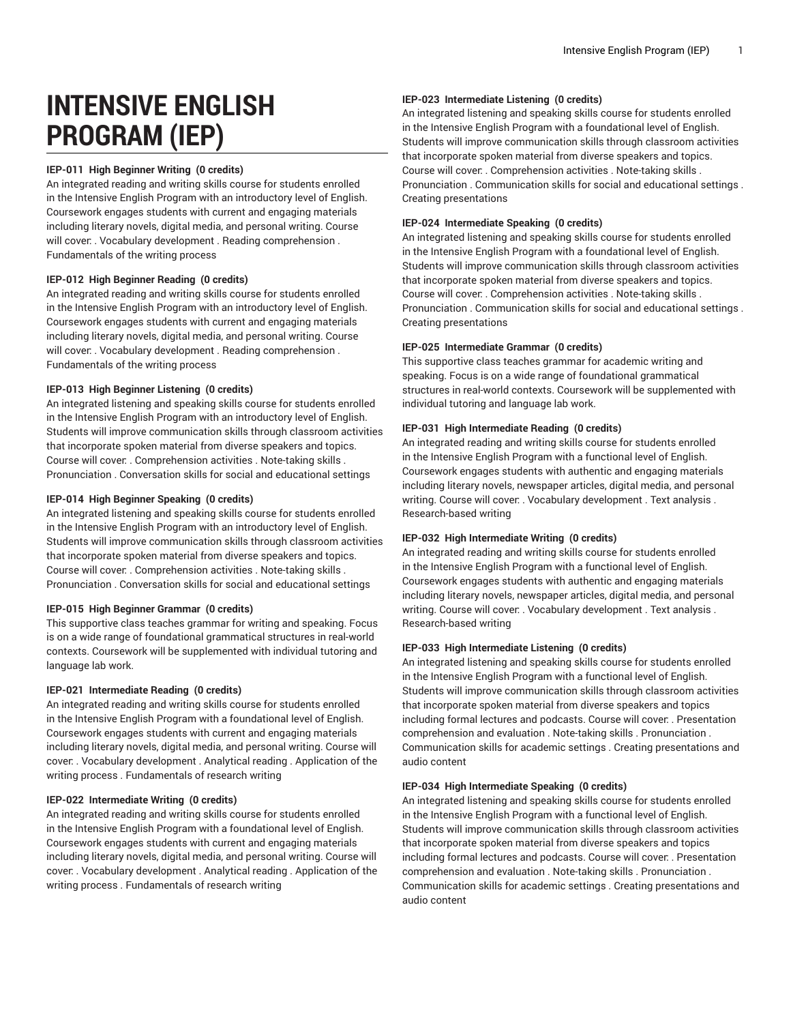# **INTENSIVE ENGLISH PROGRAM (IEP)**

# **IEP-011 High Beginner Writing (0 credits)**

An integrated reading and writing skills course for students enrolled in the Intensive English Program with an introductory level of English. Coursework engages students with current and engaging materials including literary novels, digital media, and personal writing. Course will cover: . Vocabulary development . Reading comprehension . Fundamentals of the writing process

#### **IEP-012 High Beginner Reading (0 credits)**

An integrated reading and writing skills course for students enrolled in the Intensive English Program with an introductory level of English. Coursework engages students with current and engaging materials including literary novels, digital media, and personal writing. Course will cover: . Vocabulary development . Reading comprehension . Fundamentals of the writing process

# **IEP-013 High Beginner Listening (0 credits)**

An integrated listening and speaking skills course for students enrolled in the Intensive English Program with an introductory level of English. Students will improve communication skills through classroom activities that incorporate spoken material from diverse speakers and topics. Course will cover: . Comprehension activities . Note-taking skills . Pronunciation . Conversation skills for social and educational settings

# **IEP-014 High Beginner Speaking (0 credits)**

An integrated listening and speaking skills course for students enrolled in the Intensive English Program with an introductory level of English. Students will improve communication skills through classroom activities that incorporate spoken material from diverse speakers and topics. Course will cover: . Comprehension activities . Note-taking skills . Pronunciation . Conversation skills for social and educational settings

#### **IEP-015 High Beginner Grammar (0 credits)**

This supportive class teaches grammar for writing and speaking. Focus is on a wide range of foundational grammatical structures in real-world contexts. Coursework will be supplemented with individual tutoring and language lab work.

# **IEP-021 Intermediate Reading (0 credits)**

An integrated reading and writing skills course for students enrolled in the Intensive English Program with a foundational level of English. Coursework engages students with current and engaging materials including literary novels, digital media, and personal writing. Course will cover: . Vocabulary development . Analytical reading . Application of the writing process . Fundamentals of research writing

#### **IEP-022 Intermediate Writing (0 credits)**

An integrated reading and writing skills course for students enrolled in the Intensive English Program with a foundational level of English. Coursework engages students with current and engaging materials including literary novels, digital media, and personal writing. Course will cover: . Vocabulary development . Analytical reading . Application of the writing process . Fundamentals of research writing

# **IEP-023 Intermediate Listening (0 credits)**

An integrated listening and speaking skills course for students enrolled in the Intensive English Program with a foundational level of English. Students will improve communication skills through classroom activities that incorporate spoken material from diverse speakers and topics. Course will cover: . Comprehension activities . Note-taking skills . Pronunciation . Communication skills for social and educational settings . Creating presentations

#### **IEP-024 Intermediate Speaking (0 credits)**

An integrated listening and speaking skills course for students enrolled in the Intensive English Program with a foundational level of English. Students will improve communication skills through classroom activities that incorporate spoken material from diverse speakers and topics. Course will cover: . Comprehension activities . Note-taking skills . Pronunciation . Communication skills for social and educational settings . Creating presentations

# **IEP-025 Intermediate Grammar (0 credits)**

This supportive class teaches grammar for academic writing and speaking. Focus is on a wide range of foundational grammatical structures in real-world contexts. Coursework will be supplemented with individual tutoring and language lab work.

#### **IEP-031 High Intermediate Reading (0 credits)**

An integrated reading and writing skills course for students enrolled in the Intensive English Program with a functional level of English. Coursework engages students with authentic and engaging materials including literary novels, newspaper articles, digital media, and personal writing. Course will cover: . Vocabulary development . Text analysis . Research-based writing

# **IEP-032 High Intermediate Writing (0 credits)**

An integrated reading and writing skills course for students enrolled in the Intensive English Program with a functional level of English. Coursework engages students with authentic and engaging materials including literary novels, newspaper articles, digital media, and personal writing. Course will cover: . Vocabulary development . Text analysis . Research-based writing

# **IEP-033 High Intermediate Listening (0 credits)**

An integrated listening and speaking skills course for students enrolled in the Intensive English Program with a functional level of English. Students will improve communication skills through classroom activities that incorporate spoken material from diverse speakers and topics including formal lectures and podcasts. Course will cover: . Presentation comprehension and evaluation . Note-taking skills . Pronunciation . Communication skills for academic settings . Creating presentations and audio content

# **IEP-034 High Intermediate Speaking (0 credits)**

An integrated listening and speaking skills course for students enrolled in the Intensive English Program with a functional level of English. Students will improve communication skills through classroom activities that incorporate spoken material from diverse speakers and topics including formal lectures and podcasts. Course will cover: . Presentation comprehension and evaluation . Note-taking skills . Pronunciation . Communication skills for academic settings . Creating presentations and audio content